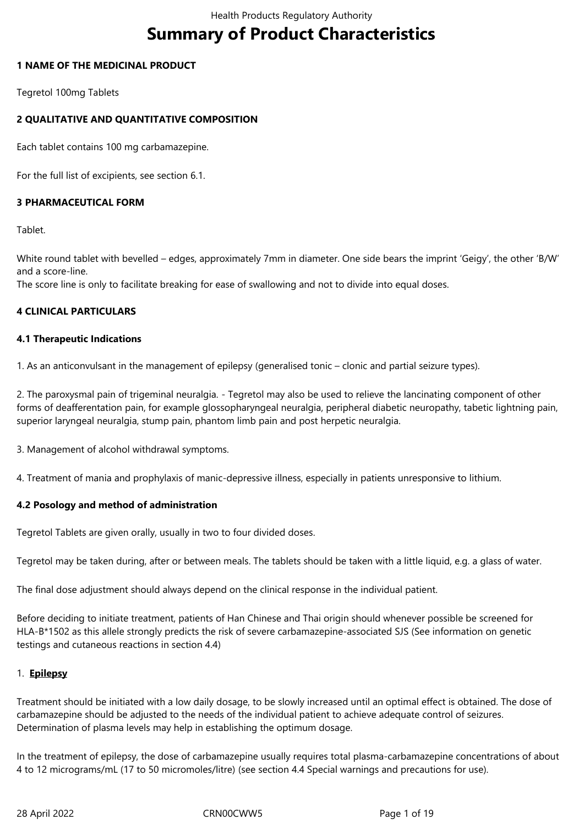# **Summary of Product Characteristics**

# **1 NAME OF THE MEDICINAL PRODUCT**

Tegretol 100mg Tablets

# **2 QUALITATIVE AND QUANTITATIVE COMPOSITION**

Each tablet contains 100 mg carbamazepine.

For the full list of excipients, see section 6.1.

# **3 PHARMACEUTICAL FORM**

Tablet.

White round tablet with bevelled – edges, approximately 7mm in diameter. One side bears the imprint 'Geigy', the other 'B/W' and a score-line.

The score line is only to facilitate breaking for ease of swallowing and not to divide into equal doses.

# **4 CLINICAL PARTICULARS**

# **4.1 Therapeutic Indications**

1. As an anticonvulsant in the management of epilepsy (generalised tonic – clonic and partial seizure types).

2. The paroxysmal pain of trigeminal neuralgia. - Tegretol may also be used to relieve the lancinating component of other forms of deafferentation pain, for example glossopharyngeal neuralgia, peripheral diabetic neuropathy, tabetic lightning pain, superior laryngeal neuralgia, stump pain, phantom limb pain and post herpetic neuralgia.

3. Management of alcohol withdrawal symptoms.

4. Treatment of mania and prophylaxis of manic-depressive illness, especially in patients unresponsive to lithium.

# **4.2 Posology and method of administration**

Tegretol Tablets are given orally, usually in two to four divided doses.

Tegretol may be taken during, after or between meals. The tablets should be taken with a little liquid, e.g. a glass of water.

The final dose adjustment should always depend on the clinical response in the individual patient.

Before deciding to initiate treatment, patients of Han Chinese and Thai origin should whenever possible be screened for HLA-B\*1502 as this allele strongly predicts the risk of severe carbamazepine-associated SJS (See information on genetic testings and cutaneous reactions in section 4.4)

# 1. **Epilepsy**

Treatment should be initiated with a low daily dosage, to be slowly increased until an optimal effect is obtained. The dose of carbamazepine should be adjusted to the needs of the individual patient to achieve adequate control of seizures. Determination of plasma levels may help in establishing the optimum dosage.

In the treatment of epilepsy, the dose of carbamazepine usually requires total plasma-carbamazepine concentrations of about 4 to 12 micrograms/mL (17 to 50 micromoles/litre) (see section 4.4 Special warnings and precautions for use).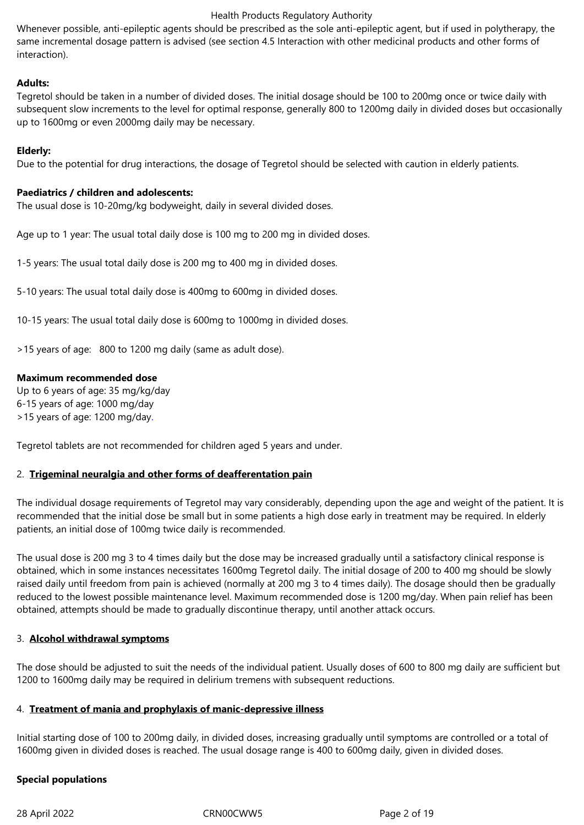Whenever possible, anti-epileptic agents should be prescribed as the sole anti-epileptic agent, but if used in polytherapy, the same incremental dosage pattern is advised (see section 4.5 Interaction with other medicinal products and other forms of interaction).

# **Adults:**

Tegretol should be taken in a number of divided doses. The initial dosage should be 100 to 200mg once or twice daily with subsequent slow increments to the level for optimal response, generally 800 to 1200mg daily in divided doses but occasionally up to 1600mg or even 2000mg daily may be necessary.

# **Elderly:**

Due to the potential for drug interactions, the dosage of Tegretol should be selected with caution in elderly patients.

# **Paediatrics / children and adolescents:**

The usual dose is 10-20mg/kg bodyweight, daily in several divided doses.

Age up to 1 year: The usual total daily dose is 100 mg to 200 mg in divided doses.

1-5 years: The usual total daily dose is 200 mg to 400 mg in divided doses.

5-10 years: The usual total daily dose is 400mg to 600mg in divided doses.

10-15 years: The usual total daily dose is 600mg to 1000mg in divided doses.

>15 years of age: 800 to 1200 mg daily (same as adult dose).

# **Maximum recommended dose**

Up to 6 years of age: 35 mg/kg/day 6-15 years of age: 1000 mg/day >15 years of age: 1200 mg/day.

Tegretol tablets are not recommended for children aged 5 years and under.

# 2. **Trigeminal neuralgia and other forms of deafferentation pain**

The individual dosage requirements of Tegretol may vary considerably, depending upon the age and weight of the patient. It is recommended that the initial dose be small but in some patients a high dose early in treatment may be required. In elderly patients, an initial dose of 100mg twice daily is recommended.

The usual dose is 200 mg 3 to 4 times daily but the dose may be increased gradually until a satisfactory clinical response is obtained, which in some instances necessitates 1600mg Tegretol daily. The initial dosage of 200 to 400 mg should be slowly raised daily until freedom from pain is achieved (normally at 200 mg 3 to 4 times daily). The dosage should then be gradually reduced to the lowest possible maintenance level. Maximum recommended dose is 1200 mg/day. When pain relief has been obtained, attempts should be made to gradually discontinue therapy, until another attack occurs.

# 3. **Alcohol withdrawal symptoms**

The dose should be adjusted to suit the needs of the individual patient. Usually doses of 600 to 800 mg daily are sufficient but 1200 to 1600mg daily may be required in delirium tremens with subsequent reductions.

# 4. **Treatment of mania and prophylaxis of manic-depressive illness**

Initial starting dose of 100 to 200mg daily, in divided doses, increasing gradually until symptoms are controlled or a total of 1600mg given in divided doses is reached. The usual dosage range is 400 to 600mg daily, given in divided doses.

# **Special populations**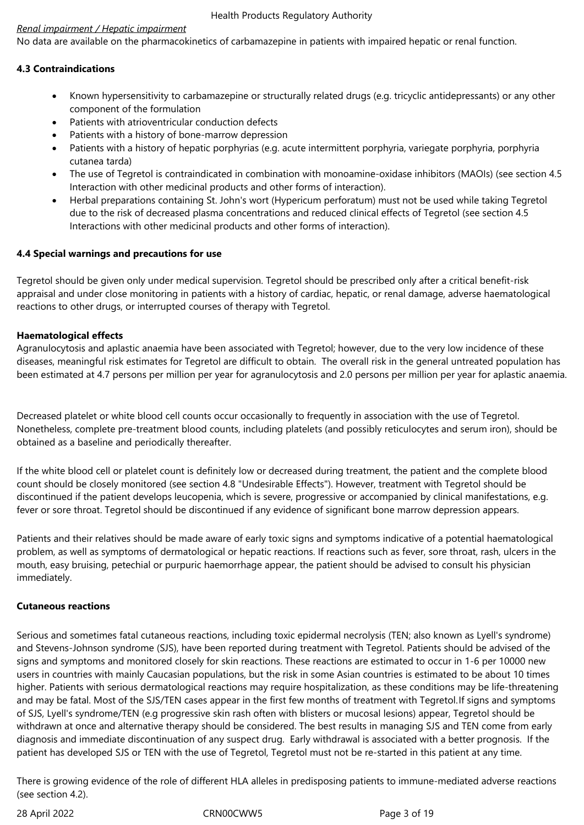# *Renal impairment / Hepatic impairment*

No data are available on the pharmacokinetics of carbamazepine in patients with impaired hepatic or renal function.

# **4.3 Contraindications**

- Known hypersensitivity to carbamazepine or structurally related drugs (e.g. tricyclic antidepressants) or any other component of the formulation
- Patients with atrioventricular conduction defects
- Patients with a history of bone-marrow depression
- Patients with a history of hepatic porphyrias (e.g. acute intermittent porphyria, variegate porphyria, porphyria cutanea tarda)
- The use of Tegretol is contraindicated in combination with monoamine-oxidase inhibitors (MAOIs) (see section 4.5 Interaction with other medicinal products and other forms of interaction).
- Herbal preparations containing St. John's wort (Hypericum perforatum) must not be used while taking Tegretol due to the risk of decreased plasma concentrations and reduced clinical effects of Tegretol (see section 4.5 Interactions with other medicinal products and other forms of interaction).

# **4.4 Special warnings and precautions for use**

Tegretol should be given only under medical supervision. Tegretol should be prescribed only after a critical benefit-risk appraisal and under close monitoring in patients with a history of cardiac, hepatic, or renal damage, adverse haematological reactions to other drugs, or interrupted courses of therapy with Tegretol.

# **Haematological effects**

Agranulocytosis and aplastic anaemia have been associated with Tegretol; however, due to the very low incidence of these diseases, meaningful risk estimates for Tegretol are difficult to obtain. The overall risk in the general untreated population has been estimated at 4.7 persons per million per year for agranulocytosis and 2.0 persons per million per year for aplastic anaemia.

Decreased platelet or white blood cell counts occur occasionally to frequently in association with the use of Tegretol. Nonetheless, complete pre-treatment blood counts, including platelets (and possibly reticulocytes and serum iron), should be obtained as a baseline and periodically thereafter.

If the white blood cell or platelet count is definitely low or decreased during treatment, the patient and the complete blood count should be closely monitored (see section 4.8 "Undesirable Effects"). However, treatment with Tegretol should be discontinued if the patient develops leucopenia, which is severe, progressive or accompanied by clinical manifestations, e.g. fever or sore throat. Tegretol should be discontinued if any evidence of significant bone marrow depression appears.

Patients and their relatives should be made aware of early toxic signs and symptoms indicative of a potential haematological problem, as well as symptoms of dermatological or hepatic reactions. If reactions such as fever, sore throat, rash, ulcers in the mouth, easy bruising, petechial or purpuric haemorrhage appear, the patient should be advised to consult his physician immediately.

# **Cutaneous reactions**

Serious and sometimes fatal cutaneous reactions, including toxic epidermal necrolysis (TEN; also known as Lyell's syndrome) and Stevens-Johnson syndrome (SJS), have been reported during treatment with Tegretol. Patients should be advised of the signs and symptoms and monitored closely for skin reactions. These reactions are estimated to occur in 1-6 per 10000 new users in countries with mainly Caucasian populations, but the risk in some Asian countries is estimated to be about 10 times higher. Patients with serious dermatological reactions may require hospitalization, as these conditions may be life-threatening and may be fatal. Most of the SJS/TEN cases appear in the first few months of treatment with Tegretol.If signs and symptoms of SJS, Lyell's syndrome/TEN (e.g progressive skin rash often with blisters or mucosal lesions) appear, Tegretol should be withdrawn at once and alternative therapy should be considered. The best results in managing SJS and TEN come from early diagnosis and immediate discontinuation of any suspect drug. Early withdrawal is associated with a better prognosis. If the patient has developed SJS or TEN with the use of Tegretol, Tegretol must not be re-started in this patient at any time.

There is growing evidence of the role of different HLA alleles in predisposing patients to immune-mediated adverse reactions (see section 4.2).

28 April 2022 CRN00CWW5 Page 3 of 19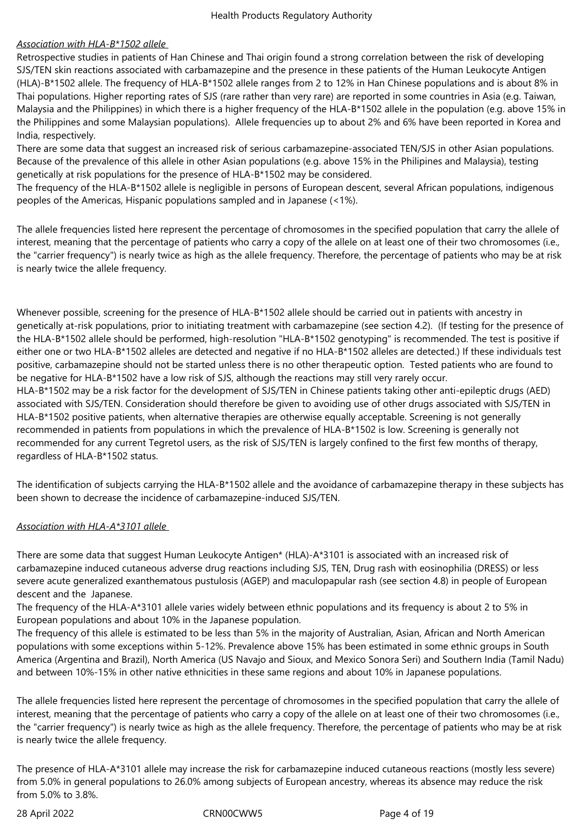# *Association with HLA-B\*1502 allele*

Retrospective studies in patients of Han Chinese and Thai origin found a strong correlation between the risk of developing SJS/TEN skin reactions associated with carbamazepine and the presence in these patients of the Human Leukocyte Antigen (HLA)-B\*1502 allele. The frequency of HLA-B\*1502 allele ranges from 2 to 12% in Han Chinese populations and is about 8% in Thai populations. Higher reporting rates of SJS (rare rather than very rare) are reported in some countries in Asia (e.g. Taiwan, Malaysia and the Philippines) in which there is a higher frequency of the HLA-B\*1502 allele in the population (e.g. above 15% in the Philippines and some Malaysian populations). Allele frequencies up to about 2% and 6% have been reported in Korea and India, respectively.

There are some data that suggest an increased risk of serious carbamazepine-associated TEN/SJS in other Asian populations. Because of the prevalence of this allele in other Asian populations (e.g. above 15% in the Philipines and Malaysia), testing genetically at risk populations for the presence of HLA-B\*1502 may be considered.

The frequency of the HLA-B\*1502 allele is negligible in persons of European descent, several African populations, indigenous peoples of the Americas, Hispanic populations sampled and in Japanese (<1%).

The allele frequencies listed here represent the percentage of chromosomes in the specified population that carry the allele of interest, meaning that the percentage of patients who carry a copy of the allele on at least one of their two chromosomes (i.e., the "carrier frequency") is nearly twice as high as the allele frequency. Therefore, the percentage of patients who may be at risk is nearly twice the allele frequency.

Whenever possible, screening for the presence of HLA-B\*1502 allele should be carried out in patients with ancestry in genetically at-risk populations, prior to initiating treatment with carbamazepine (see section 4.2). (If testing for the presence of the HLA-B\*1502 allele should be performed, high-resolution "HLA-B\*1502 genotyping" is recommended. The test is positive if either one or two HLA-B\*1502 alleles are detected and negative if no HLA-B\*1502 alleles are detected.) If these individuals test positive, carbamazepine should not be started unless there is no other therapeutic option. Tested patients who are found to be negative for HLA-B\*1502 have a low risk of SJS, although the reactions may still very rarely occur. HLA-B\*1502 may be a risk factor for the development of SJS/TEN in Chinese patients taking other anti-epileptic drugs (AED) associated with SJS/TEN. Consideration should therefore be given to avoiding use of other drugs associated with SJS/TEN in HLA-B\*1502 positive patients, when alternative therapies are otherwise equally acceptable. Screening is not generally recommended in patients from populations in which the prevalence of HLA-B\*1502 is low. Screening is generally not recommended for any current Tegretol users, as the risk of SJS/TEN is largely confined to the first few months of therapy,

regardless of HLA-B\*1502 status.

The identification of subjects carrying the HLA-B\*1502 allele and the avoidance of carbamazepine therapy in these subjects has been shown to decrease the incidence of carbamazepine-induced SJS/TEN.

# *Association with HLA-A\*3101 allele*

There are some data that suggest Human Leukocyte Antigen\* (HLA)-A\*3101 is associated with an increased risk of carbamazepine induced cutaneous adverse drug reactions including SJS, TEN, Drug rash with eosinophilia (DRESS) or less severe acute generalized exanthematous pustulosis (AGEP) and maculopapular rash (see section 4.8) in people of European descent and the Japanese.

The frequency of the HLA-A\*3101 allele varies widely between ethnic populations and its frequency is about 2 to 5% in European populations and about 10% in the Japanese population.

The frequency of this allele is estimated to be less than 5% in the majority of Australian, Asian, African and North American populations with some exceptions within 5-12%. Prevalence above 15% has been estimated in some ethnic groups in South America (Argentina and Brazil), North America (US Navajo and Sioux, and Mexico Sonora Seri) and Southern India (Tamil Nadu) and between 10%-15% in other native ethnicities in these same regions and about 10% in Japanese populations.

The allele frequencies listed here represent the percentage of chromosomes in the specified population that carry the allele of interest, meaning that the percentage of patients who carry a copy of the allele on at least one of their two chromosomes (i.e., the "carrier frequency") is nearly twice as high as the allele frequency. Therefore, the percentage of patients who may be at risk is nearly twice the allele frequency.

The presence of HLA-A\*3101 allele may increase the risk for carbamazepine induced cutaneous reactions (mostly less severe) from 5.0% in general populations to 26.0% among subjects of European ancestry, whereas its absence may reduce the risk from 5.0% to 3.8%.

28 April 2022 CRN00CWW5 Page 4 of 19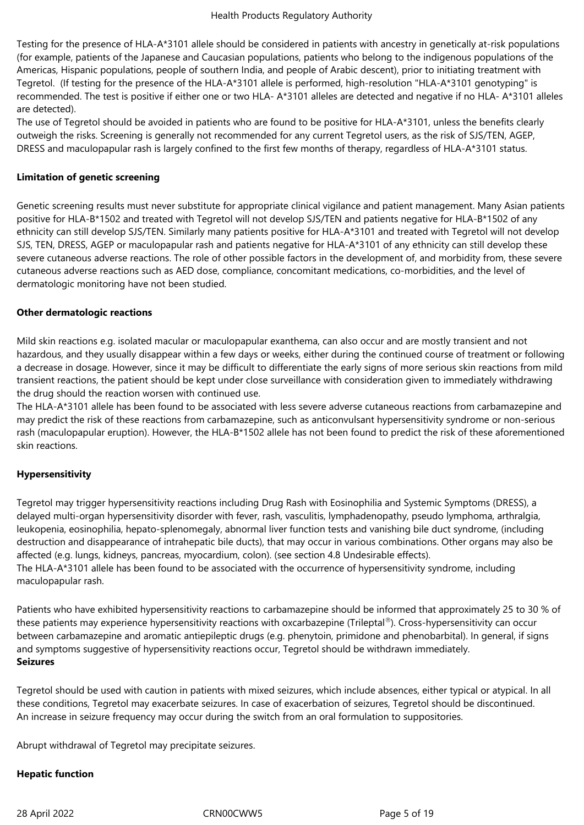Testing for the presence of HLA-A\*3101 allele should be considered in patients with ancestry in genetically at-risk populations (for example, patients of the Japanese and Caucasian populations, patients who belong to the indigenous populations of the Americas, Hispanic populations, people of southern India, and people of Arabic descent), prior to initiating treatment with Tegretol. (If testing for the presence of the HLA-A\*3101 allele is performed, high-resolution "HLA-A\*3101 genotyping" is recommended. The test is positive if either one or two HLA- A\*3101 alleles are detected and negative if no HLA- A\*3101 alleles are detected).

The use of Tegretol should be avoided in patients who are found to be positive for HLA-A\*3101, unless the benefits clearly outweigh the risks. Screening is generally not recommended for any current Tegretol users, as the risk of SJS/TEN, AGEP, DRESS and maculopapular rash is largely confined to the first few months of therapy, regardless of HLA-A\*3101 status.

# **Limitation of genetic screening**

Genetic screening results must never substitute for appropriate clinical vigilance and patient management. Many Asian patients positive for HLA-B\*1502 and treated with Tegretol will not develop SJS/TEN and patients negative for HLA-B\*1502 of any ethnicity can still develop SJS/TEN. Similarly many patients positive for HLA-A\*3101 and treated with Tegretol will not develop SJS, TEN, DRESS, AGEP or maculopapular rash and patients negative for HLA-A\*3101 of any ethnicity can still develop these severe cutaneous adverse reactions. The role of other possible factors in the development of, and morbidity from, these severe cutaneous adverse reactions such as AED dose, compliance, concomitant medications, co-morbidities, and the level of dermatologic monitoring have not been studied.

# **Other dermatologic reactions**

Mild skin reactions e.g. isolated macular or maculopapular exanthema, can also occur and are mostly transient and not hazardous, and they usually disappear within a few days or weeks, either during the continued course of treatment or following a decrease in dosage. However, since it may be difficult to differentiate the early signs of more serious skin reactions from mild transient reactions, the patient should be kept under close surveillance with consideration given to immediately withdrawing the drug should the reaction worsen with continued use.

The HLA-A\*3101 allele has been found to be associated with less severe adverse cutaneous reactions from carbamazepine and may predict the risk of these reactions from carbamazepine, such as anticonvulsant hypersensitivity syndrome or non-serious rash (maculopapular eruption). However, the HLA-B\*1502 allele has not been found to predict the risk of these aforementioned skin reactions.

# **Hypersensitivity**

Tegretol may trigger hypersensitivity reactions including Drug Rash with Eosinophilia and Systemic Symptoms (DRESS), a delayed multi-organ hypersensitivity disorder with fever, rash, vasculitis, lymphadenopathy, pseudo lymphoma, arthralgia, leukopenia, eosinophilia, hepato-splenomegaly, abnormal liver function tests and vanishing bile duct syndrome, (including destruction and disappearance of intrahepatic bile ducts), that may occur in various combinations. Other organs may also be affected (e.g. lungs, kidneys, pancreas, myocardium, colon). (see section 4.8 Undesirable effects). The HLA-A\*3101 allele has been found to be associated with the occurrence of hypersensitivity syndrome, including maculopapular rash.

Patients who have exhibited hypersensitivity reactions to carbamazepine should be informed that approximately 25 to 30 % of these patients may experience hypersensitivity reactions with oxcarbazepine (Trileptal®). Cross-hypersensitivity can occur between carbamazepine and aromatic antiepileptic drugs (e.g. phenytoin, primidone and phenobarbital). In general, if signs and symptoms suggestive of hypersensitivity reactions occur, Tegretol should be withdrawn immediately. **Seizures**

Tegretol should be used with caution in patients with mixed seizures, which include absences, either typical or atypical. In all these conditions, Tegretol may exacerbate seizures. In case of exacerbation of seizures, Tegretol should be discontinued. An increase in seizure frequency may occur during the switch from an oral formulation to suppositories.

Abrupt withdrawal of Tegretol may precipitate seizures.

# **Hepatic function**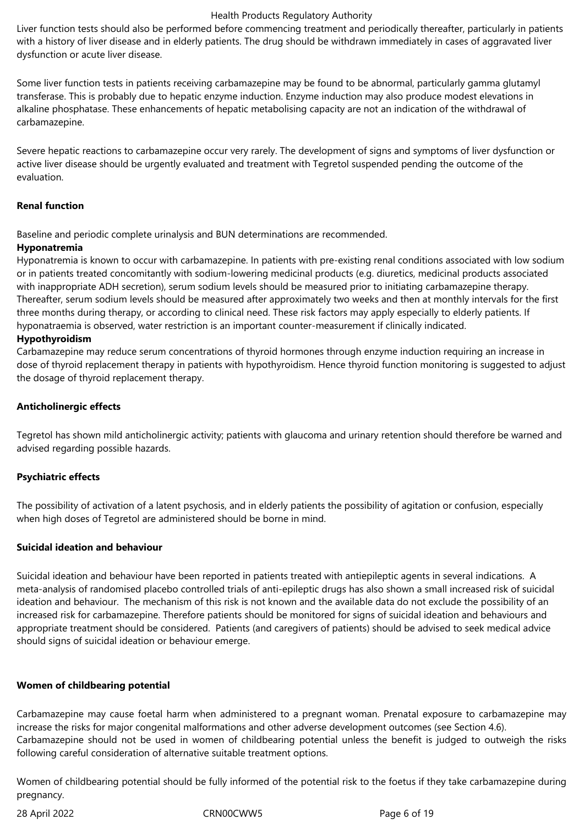Liver function tests should also be performed before commencing treatment and periodically thereafter, particularly in patients with a history of liver disease and in elderly patients. The drug should be withdrawn immediately in cases of aggravated liver dysfunction or acute liver disease.

Some liver function tests in patients receiving carbamazepine may be found to be abnormal, particularly gamma glutamyl transferase. This is probably due to hepatic enzyme induction. Enzyme induction may also produce modest elevations in alkaline phosphatase. These enhancements of hepatic metabolising capacity are not an indication of the withdrawal of carbamazepine.

Severe hepatic reactions to carbamazepine occur very rarely. The development of signs and symptoms of liver dysfunction or active liver disease should be urgently evaluated and treatment with Tegretol suspended pending the outcome of the evaluation.

# **Renal function**

Baseline and periodic complete urinalysis and BUN determinations are recommended.

# **Hyponatremia**

Hyponatremia is known to occur with carbamazepine. In patients with pre-existing renal conditions associated with low sodium or in patients treated concomitantly with sodium-lowering medicinal products (e.g. diuretics, medicinal products associated with inappropriate ADH secretion), serum sodium levels should be measured prior to initiating carbamazepine therapy. Thereafter, serum sodium levels should be measured after approximately two weeks and then at monthly intervals for the first three months during therapy, or according to clinical need. These risk factors may apply especially to elderly patients. If hyponatraemia is observed, water restriction is an important counter-measurement if clinically indicated.

# **Hypothyroidism**

Carbamazepine may reduce serum concentrations of thyroid hormones through enzyme induction requiring an increase in dose of thyroid replacement therapy in patients with hypothyroidism. Hence thyroid function monitoring is suggested to adjust the dosage of thyroid replacement therapy.

# **Anticholinergic effects**

Tegretol has shown mild anticholinergic activity; patients with glaucoma and urinary retention should therefore be warned and advised regarding possible hazards.

# **Psychiatric effects**

The possibility of activation of a latent psychosis, and in elderly patients the possibility of agitation or confusion, especially when high doses of Tegretol are administered should be borne in mind.

# **Suicidal ideation and behaviour**

Suicidal ideation and behaviour have been reported in patients treated with antiepileptic agents in several indications. A meta-analysis of randomised placebo controlled trials of anti-epileptic drugs has also shown a small increased risk of suicidal ideation and behaviour. The mechanism of this risk is not known and the available data do not exclude the possibility of an increased risk for carbamazepine. Therefore patients should be monitored for signs of suicidal ideation and behaviours and appropriate treatment should be considered. Patients (and caregivers of patients) should be advised to seek medical advice should signs of suicidal ideation or behaviour emerge.

# **Women of childbearing potential**

Carbamazepine may cause foetal harm when administered to a pregnant woman. Prenatal exposure to carbamazepine may increase the risks for major congenital malformations and other adverse development outcomes (see Section 4.6). Carbamazepine should not be used in women of childbearing potential unless the benefit is judged to outweigh the risks following careful consideration of alternative suitable treatment options.

Women of childbearing potential should be fully informed of the potential risk to the foetus if they take carbamazepine during pregnancy.

28 April 2022 CRN00CWW5 Page 6 of 19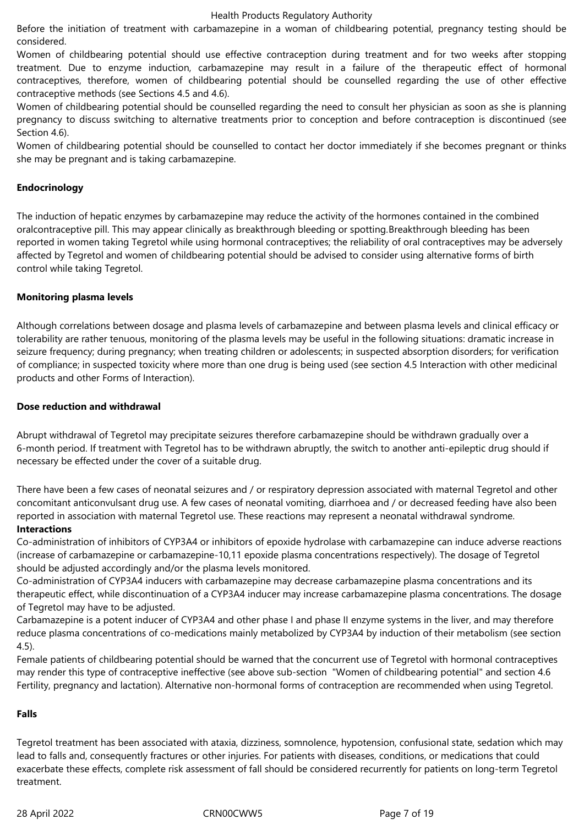Before the initiation of treatment with carbamazepine in a woman of childbearing potential, pregnancy testing should be considered.

Women of childbearing potential should use effective contraception during treatment and for two weeks after stopping treatment. Due to enzyme induction, carbamazepine may result in a failure of the therapeutic effect of hormonal contraceptives, therefore, women of childbearing potential should be counselled regarding the use of other effective contraceptive methods (see Sections 4.5 and 4.6).

Women of childbearing potential should be counselled regarding the need to consult her physician as soon as she is planning pregnancy to discuss switching to alternative treatments prior to conception and before contraception is discontinued (see Section 4.6).

Women of childbearing potential should be counselled to contact her doctor immediately if she becomes pregnant or thinks she may be pregnant and is taking carbamazepine.

# **Endocrinology**

The induction of hepatic enzymes by carbamazepine may reduce the activity of the hormones contained in the combined oralcontraceptive pill. This may appear clinically as breakthrough bleeding or spotting.Breakthrough bleeding has been reported in women taking Tegretol while using hormonal contraceptives; the reliability of oral contraceptives may be adversely affected by Tegretol and women of childbearing potential should be advised to consider using alternative forms of birth control while taking Tegretol.

# **Monitoring plasma levels**

Although correlations between dosage and plasma levels of carbamazepine and between plasma levels and clinical efficacy or tolerability are rather tenuous, monitoring of the plasma levels may be useful in the following situations: dramatic increase in seizure frequency; during pregnancy; when treating children or adolescents; in suspected absorption disorders; for verification of compliance; in suspected toxicity where more than one drug is being used (see section 4.5 Interaction with other medicinal products and other Forms of Interaction).

# **Dose reduction and withdrawal**

Abrupt withdrawal of Tegretol may precipitate seizures therefore carbamazepine should be withdrawn gradually over a 6-month period. If treatment with Tegretol has to be withdrawn abruptly, the switch to another anti-epileptic drug should if necessary be effected under the cover of a suitable drug.

There have been a few cases of neonatal seizures and / or respiratory depression associated with maternal Tegretol and other concomitant anticonvulsant drug use. A few cases of neonatal vomiting, diarrhoea and / or decreased feeding have also been reported in association with maternal Tegretol use. These reactions may represent a neonatal withdrawal syndrome.

# **Interactions**

Co-administration of inhibitors of CYP3A4 or inhibitors of epoxide hydrolase with carbamazepine can induce adverse reactions (increase of carbamazepine or carbamazepine-10,11 epoxide plasma concentrations respectively). The dosage of Tegretol should be adjusted accordingly and/or the plasma levels monitored.

Co-administration of CYP3A4 inducers with carbamazepine may decrease carbamazepine plasma concentrations and its therapeutic effect, while discontinuation of a CYP3A4 inducer may increase carbamazepine plasma concentrations. The dosage of Tegretol may have to be adjusted.

Carbamazepine is a potent inducer of CYP3A4 and other phase I and phase II enzyme systems in the liver, and may therefore reduce plasma concentrations of co-medications mainly metabolized by CYP3A4 by induction of their metabolism (see section 4.5).

Female patients of childbearing potential should be warned that the concurrent use of Tegretol with hormonal contraceptives may render this type of contraceptive ineffective (see above sub-section "Women of childbearing potential" and section 4.6 Fertility, pregnancy and lactation). Alternative non-hormonal forms of contraception are recommended when using Tegretol.

# **Falls**

Tegretol treatment has been associated with ataxia, dizziness, somnolence, hypotension, confusional state, sedation which may lead to falls and, consequently fractures or other injuries. For patients with diseases, conditions, or medications that could exacerbate these effects, complete risk assessment of fall should be considered recurrently for patients on long-term Tegretol treatment.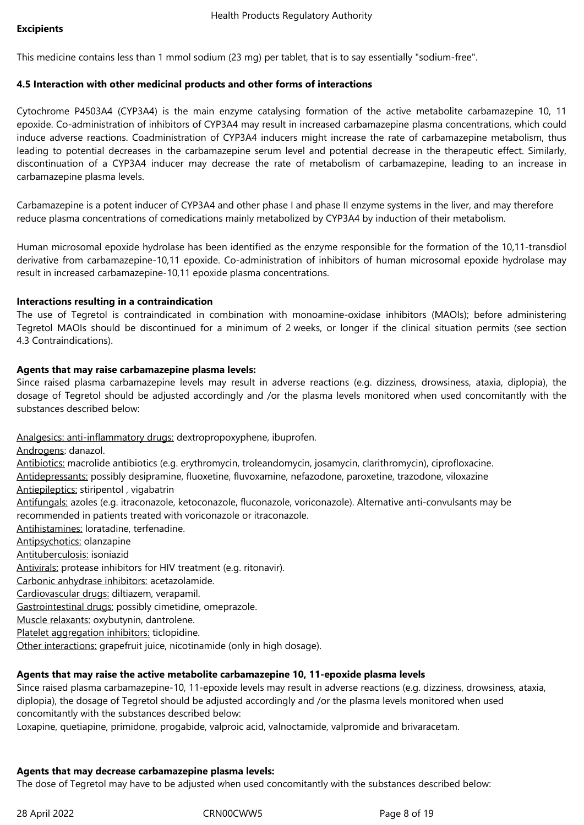## **Excipients**

This medicine contains less than 1 mmol sodium (23 mg) per tablet, that is to say essentially "sodium-free".

#### **4.5 Interaction with other medicinal products and other forms of interactions**

Cytochrome P4503A4 (CYP3A4) is the main enzyme catalysing formation of the active metabolite carbamazepine 10, 11 epoxide. Co-administration of inhibitors of CYP3A4 may result in increased carbamazepine plasma concentrations, which could induce adverse reactions. Coadministration of CYP3A4 inducers might increase the rate of carbamazepine metabolism, thus leading to potential decreases in the carbamazepine serum level and potential decrease in the therapeutic effect. Similarly, discontinuation of a CYP3A4 inducer may decrease the rate of metabolism of carbamazepine, leading to an increase in carbamazepine plasma levels.

Carbamazepine is a potent inducer of CYP3A4 and other phase I and phase II enzyme systems in the liver, and may therefore reduce plasma concentrations of comedications mainly metabolized by CYP3A4 by induction of their metabolism.

Human microsomal epoxide hydrolase has been identified as the enzyme responsible for the formation of the 10,11-transdiol derivative from carbamazepine-10,11 epoxide. Co-administration of inhibitors of human microsomal epoxide hydrolase may result in increased carbamazepine-10,11 epoxide plasma concentrations.

#### **Interactions resulting in a contraindication**

The use of Tegretol is contraindicated in combination with monoamine-oxidase inhibitors (MAOIs); before administering Tegretol MAOIs should be discontinued for a minimum of 2 weeks, or longer if the clinical situation permits (see section 4.3 Contraindications).

# **Agents that may raise carbamazepine plasma levels:**

Since raised plasma carbamazepine levels may result in adverse reactions (e.g. dizziness, drowsiness, ataxia, diplopia), the dosage of Tegretol should be adjusted accordingly and /or the plasma levels monitored when used concomitantly with the substances described below:

Analgesics: anti-inflammatory drugs: dextropropoxyphene, ibuprofen.

Androgens: danazol. Antibiotics: macrolide antibiotics (e.g. erythromycin, troleandomycin, josamycin, clarithromycin), ciprofloxacine. Antidepressants: possibly desipramine, fluoxetine, fluvoxamine, nefazodone, paroxetine, trazodone, viloxazine Antiepileptics: stiripentol , vigabatrin Antifungals: azoles (e.g. itraconazole, ketoconazole, fluconazole, voriconazole). Alternative anti-convulsants may be recommended in patients treated with voriconazole or itraconazole. Antihistamines: loratadine, terfenadine. Antipsychotics: olanzapine Antituberculosis: isoniazid Antivirals: protease inhibitors for HIV treatment (e.g. ritonavir). Carbonic anhydrase inhibitors: acetazolamide. Cardiovascular drugs: diltiazem, verapamil. Gastrointestinal drugs: possibly cimetidine, omeprazole. Muscle relaxants: oxybutynin, dantrolene. Platelet aggregation inhibitors: ticlopidine. Other interactions: grapefruit juice, nicotinamide (only in high dosage).

# **Agents that may raise the active metabolite carbamazepine 10, 11-epoxide plasma levels**

Since raised plasma carbamazepine-10, 11-epoxide levels may result in adverse reactions (e.g. dizziness, drowsiness, ataxia, diplopia), the dosage of Tegretol should be adjusted accordingly and /or the plasma levels monitored when used concomitantly with the substances described below:

Loxapine, quetiapine, primidone, progabide, valproic acid, valnoctamide, valpromide and brivaracetam.

# **Agents that may decrease carbamazepine plasma levels:**

The dose of Tegretol may have to be adjusted when used concomitantly with the substances described below: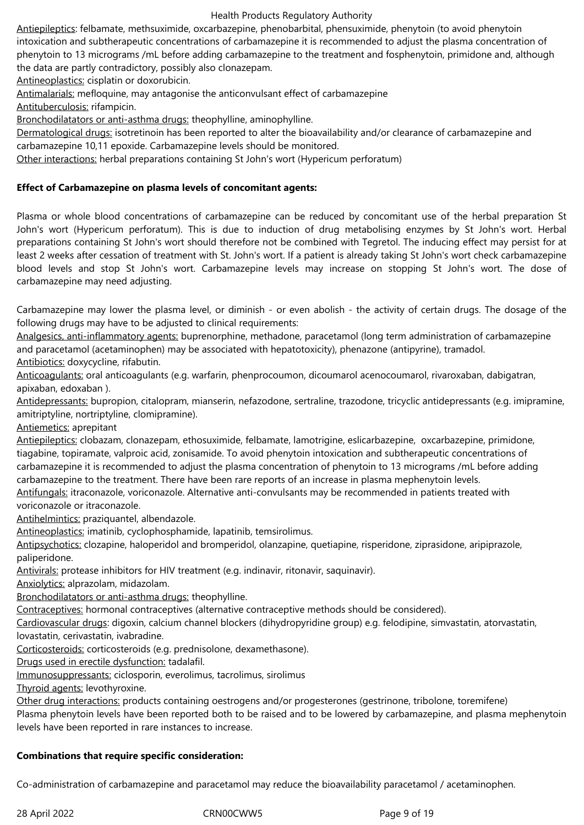Antiepileptics: felbamate, methsuximide, oxcarbazepine, phenobarbital, phensuximide, phenytoin (to avoid phenytoin intoxication and subtherapeutic concentrations of carbamazepine it is recommended to adjust the plasma concentration of phenytoin to 13 micrograms /mL before adding carbamazepine to the treatment and fosphenytoin, primidone and, although the data are partly contradictory, possibly also clonazepam.

Antineoplastics: cisplatin or doxorubicin.

Antimalarials: mefloquine, may antagonise the anticonvulsant effect of carbamazepine

Antituberculosis: rifampicin.

Bronchodilatators or anti-asthma drugs: theophylline, aminophylline.

Dermatological drugs: isotretinoin has been reported to alter the bioavailability and/or clearance of carbamazepine and carbamazepine 10,11 epoxide. Carbamazepine levels should be monitored.

Other interactions: herbal preparations containing St John's wort (Hypericum perforatum)

# **Effect of Carbamazepine on plasma levels of concomitant agents:**

Plasma or whole blood concentrations of carbamazepine can be reduced by concomitant use of the herbal preparation St John's wort (Hypericum perforatum). This is due to induction of drug metabolising enzymes by St John's wort. Herbal preparations containing St John's wort should therefore not be combined with Tegretol. The inducing effect may persist for at least 2 weeks after cessation of treatment with St. John's wort. If a patient is already taking St John's wort check carbamazepine blood levels and stop St John's wort. Carbamazepine levels may increase on stopping St John's wort. The dose of carbamazepine may need adjusting.

Carbamazepine may lower the plasma level, or diminish - or even abolish - the activity of certain drugs. The dosage of the following drugs may have to be adjusted to clinical requirements:

Analgesics, anti-inflammatory agents: buprenorphine, methadone, paracetamol (long term administration of carbamazepine and paracetamol (acetaminophen) may be associated with hepatotoxicity), phenazone (antipyrine), tramadol. Antibiotics: doxycycline, rifabutin.

Anticoagulants: oral anticoagulants (e.g. warfarin, phenprocoumon, dicoumarol acenocoumarol, rivaroxaban, dabigatran, apixaban, edoxaban ).

Antidepressants: bupropion, citalopram, mianserin, nefazodone, sertraline, trazodone, tricyclic antidepressants (e.g. imipramine, amitriptyline, nortriptyline, clomipramine).

Antiemetics: aprepitant

Antiepileptics: clobazam, clonazepam, ethosuximide, felbamate, lamotrigine, eslicarbazepine, oxcarbazepine, primidone, tiagabine, topiramate, valproic acid, zonisamide. To avoid phenytoin intoxication and subtherapeutic concentrations of carbamazepine it is recommended to adjust the plasma concentration of phenytoin to 13 micrograms /mL before adding carbamazepine to the treatment. There have been rare reports of an increase in plasma mephenytoin levels. Antifungals: itraconazole, voriconazole. Alternative anti-convulsants may be recommended in patients treated with

voriconazole or itraconazole.

Antihelmintics: praziquantel, albendazole.

Antineoplastics: imatinib, cyclophosphamide, lapatinib, temsirolimus.

Antipsychotics: clozapine, haloperidol and bromperidol, olanzapine, quetiapine, risperidone, ziprasidone, aripiprazole, paliperidone.

Antivirals: protease inhibitors for HIV treatment (e.g. indinavir, ritonavir, saquinavir).

Anxiolytics: alprazolam, midazolam.

Bronchodilatators or anti-asthma drugs: theophylline.

Contraceptives: hormonal contraceptives (alternative contraceptive methods should be considered).

Cardiovascular drugs: digoxin, calcium channel blockers (dihydropyridine group) e.g. felodipine, simvastatin, atorvastatin, lovastatin, cerivastatin, ivabradine.

Corticosteroids: corticosteroids (e.g. prednisolone, dexamethasone).

Drugs used in erectile dysfunction: tadalafil.

Immunosuppressants: ciclosporin, everolimus, tacrolimus, sirolimus

Thyroid agents: levothyroxine.

Other drug interactions: products containing oestrogens and/or progesterones (gestrinone, tribolone, toremifene)

Plasma phenytoin levels have been reported both to be raised and to be lowered by carbamazepine, and plasma mephenytoin levels have been reported in rare instances to increase.

# **Combinations that require specific consideration:**

Co-administration of carbamazepine and paracetamol may reduce the bioavailability paracetamol / acetaminophen.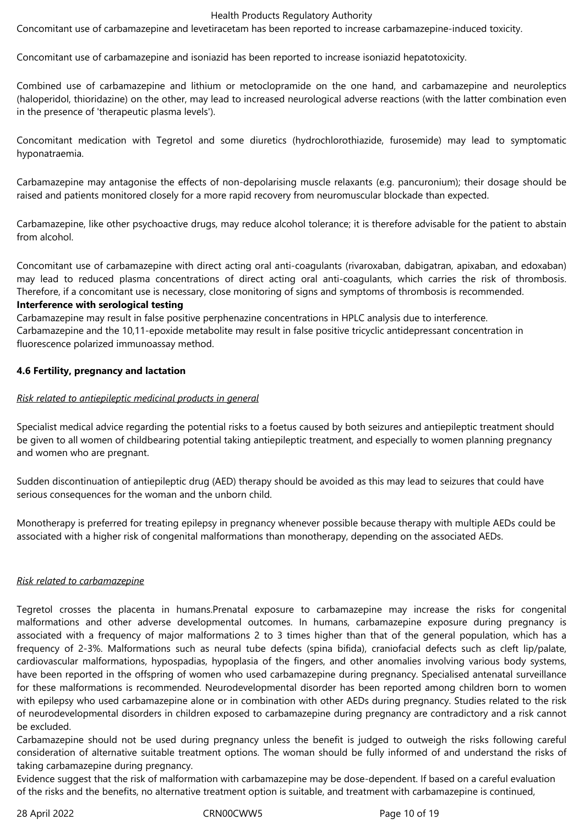Concomitant use of carbamazepine and levetiracetam has been reported to increase carbamazepine-induced toxicity.

Concomitant use of carbamazepine and isoniazid has been reported to increase isoniazid hepatotoxicity.

Combined use of carbamazepine and lithium or metoclopramide on the one hand, and carbamazepine and neuroleptics (haloperidol, thioridazine) on the other, may lead to increased neurological adverse reactions (with the latter combination even in the presence of 'therapeutic plasma levels').

Concomitant medication with Tegretol and some diuretics (hydrochlorothiazide, furosemide) may lead to symptomatic hyponatraemia.

Carbamazepine may antagonise the effects of non-depolarising muscle relaxants (e.g. pancuronium); their dosage should be raised and patients monitored closely for a more rapid recovery from neuromuscular blockade than expected.

Carbamazepine, like other psychoactive drugs, may reduce alcohol tolerance; it is therefore advisable for the patient to abstain from alcohol.

Concomitant use of carbamazepine with direct acting oral anti-coagulants (rivaroxaban, dabigatran, apixaban, and edoxaban) may lead to reduced plasma concentrations of direct acting oral anti-coagulants, which carries the risk of thrombosis. Therefore, if a concomitant use is necessary, close monitoring of signs and symptoms of thrombosis is recommended.

# **Interference with serological testing**

Carbamazepine may result in false positive perphenazine concentrations in HPLC analysis due to interference. Carbamazepine and the 10,11-epoxide metabolite may result in false positive tricyclic antidepressant concentration in fluorescence polarized immunoassay method.

# **4.6 Fertility, pregnancy and lactation**

# *Risk related to antiepileptic medicinal products in general*

Specialist medical advice regarding the potential risks to a foetus caused by both seizures and antiepileptic treatment should be given to all women of childbearing potential taking antiepileptic treatment, and especially to women planning pregnancy and women who are pregnant.

Sudden discontinuation of antiepileptic drug (AED) therapy should be avoided as this may lead to seizures that could have serious consequences for the woman and the unborn child.

Monotherapy is preferred for treating epilepsy in pregnancy whenever possible because therapy with multiple AEDs could be associated with a higher risk of congenital malformations than monotherapy, depending on the associated AEDs.

# *Risk related to carbamazepine*

Tegretol crosses the placenta in humans.Prenatal exposure to carbamazepine may increase the risks for congenital malformations and other adverse developmental outcomes. In humans, carbamazepine exposure during pregnancy is associated with a frequency of major malformations 2 to 3 times higher than that of the general population, which has a frequency of 2-3%. Malformations such as neural tube defects (spina bifida), craniofacial defects such as cleft lip/palate, cardiovascular malformations, hypospadias, hypoplasia of the fingers, and other anomalies involving various body systems, have been reported in the offspring of women who used carbamazepine during pregnancy. Specialised antenatal surveillance for these malformations is recommended. Neurodevelopmental disorder has been reported among children born to women with epilepsy who used carbamazepine alone or in combination with other AEDs during pregnancy. Studies related to the risk of neurodevelopmental disorders in children exposed to carbamazepine during pregnancy are contradictory and a risk cannot be excluded.

Carbamazepine should not be used during pregnancy unless the benefit is judged to outweigh the risks following careful consideration of alternative suitable treatment options. The woman should be fully informed of and understand the risks of taking carbamazepine during pregnancy.

Evidence suggest that the risk of malformation with carbamazepine may be dose-dependent. If based on a careful evaluation of the risks and the benefits, no alternative treatment option is suitable, and treatment with carbamazepine is continued,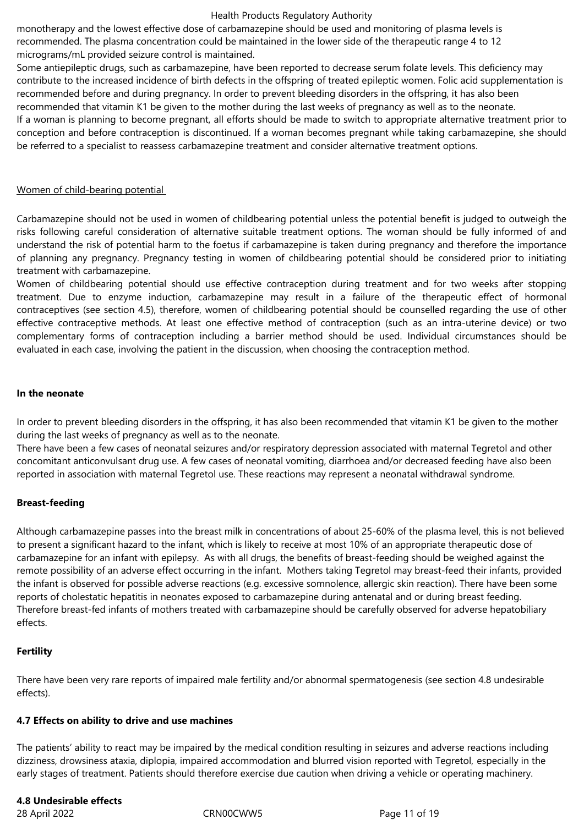monotherapy and the lowest effective dose of carbamazepine should be used and monitoring of plasma levels is recommended. The plasma concentration could be maintained in the lower side of the therapeutic range 4 to 12 micrograms/mL provided seizure control is maintained.

Some antiepileptic drugs, such as carbamazepine, have been reported to decrease serum folate levels. This deficiency may contribute to the increased incidence of birth defects in the offspring of treated epileptic women. Folic acid supplementation is recommended before and during pregnancy. In order to prevent bleeding disorders in the offspring, it has also been

recommended that vitamin K1 be given to the mother during the last weeks of pregnancy as well as to the neonate.

If a woman is planning to become pregnant, all efforts should be made to switch to appropriate alternative treatment prior to conception and before contraception is discontinued. If a woman becomes pregnant while taking carbamazepine, she should be referred to a specialist to reassess carbamazepine treatment and consider alternative treatment options.

# Women of child-bearing potential

Carbamazepine should not be used in women of childbearing potential unless the potential benefit is judged to outweigh the risks following careful consideration of alternative suitable treatment options. The woman should be fully informed of and understand the risk of potential harm to the foetus if carbamazepine is taken during pregnancy and therefore the importance of planning any pregnancy. Pregnancy testing in women of childbearing potential should be considered prior to initiating treatment with carbamazepine.

Women of childbearing potential should use effective contraception during treatment and for two weeks after stopping treatment. Due to enzyme induction, carbamazepine may result in a failure of the therapeutic effect of hormonal contraceptives (see section 4.5), therefore, women of childbearing potential should be counselled regarding the use of other effective contraceptive methods. At least one effective method of contraception (such as an intra-uterine device) or two complementary forms of contraception including a barrier method should be used. Individual circumstances should be evaluated in each case, involving the patient in the discussion, when choosing the contraception method.

# **In the neonate**

In order to prevent bleeding disorders in the offspring, it has also been recommended that vitamin K1 be given to the mother during the last weeks of pregnancy as well as to the neonate.

There have been a few cases of neonatal seizures and/or respiratory depression associated with maternal Tegretol and other concomitant anticonvulsant drug use. A few cases of neonatal vomiting, diarrhoea and/or decreased feeding have also been reported in association with maternal Tegretol use. These reactions may represent a neonatal withdrawal syndrome.

# **Breast-feeding**

Although carbamazepine passes into the breast milk in concentrations of about 25-60% of the plasma level, this is not believed to present a significant hazard to the infant, which is likely to receive at most 10% of an appropriate therapeutic dose of carbamazepine for an infant with epilepsy. As with all drugs, the benefits of breast-feeding should be weighed against the remote possibility of an adverse effect occurring in the infant. Mothers taking Tegretol may breast-feed their infants, provided the infant is observed for possible adverse reactions (e.g. excessive somnolence, allergic skin reaction). There have been some reports of cholestatic hepatitis in neonates exposed to carbamazepine during antenatal and or during breast feeding. Therefore breast-fed infants of mothers treated with carbamazepine should be carefully observed for adverse hepatobiliary effects.

# **Fertility**

There have been very rare reports of impaired male fertility and/or abnormal spermatogenesis (see section 4.8 undesirable effects).

# **4.7 Effects on ability to drive and use machines**

The patients' ability to react may be impaired by the medical condition resulting in seizures and adverse reactions including dizziness, drowsiness ataxia, diplopia, impaired accommodation and blurred vision reported with Tegretol, especially in the early stages of treatment. Patients should therefore exercise due caution when driving a vehicle or operating machinery.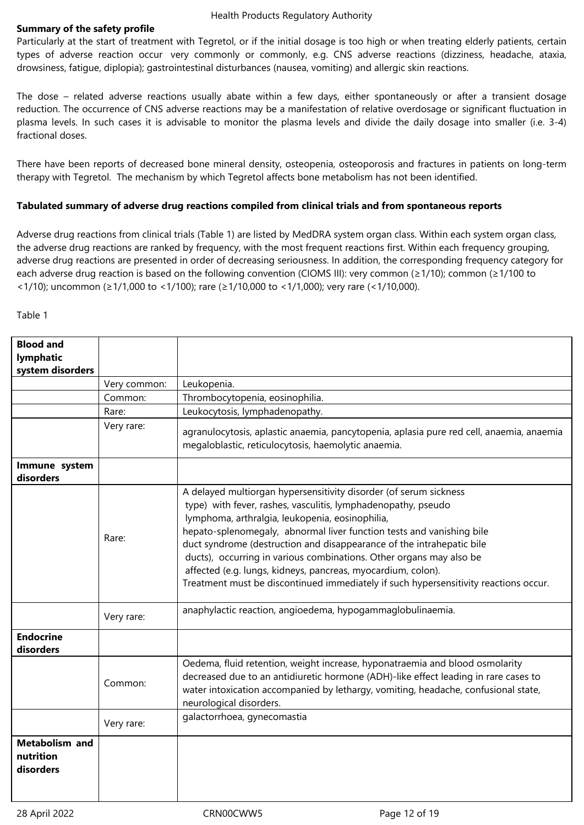# **Summary of the safety profile**

Particularly at the start of treatment with Tegretol, or if the initial dosage is too high or when treating elderly patients, certain types of adverse reaction occur very commonly or commonly, e.g. CNS adverse reactions (dizziness, headache, ataxia, drowsiness, fatigue, diplopia); gastrointestinal disturbances (nausea, vomiting) and allergic skin reactions.

The dose – related adverse reactions usually abate within a few days, either spontaneously or after a transient dosage reduction. The occurrence of CNS adverse reactions may be a manifestation of relative overdosage or significant fluctuation in plasma levels. In such cases it is advisable to monitor the plasma levels and divide the daily dosage into smaller (i.e. 3-4) fractional doses.

There have been reports of decreased bone mineral density, osteopenia, osteoporosis and fractures in patients on long-term therapy with Tegretol. The mechanism by which Tegretol affects bone metabolism has not been identified.

# **Tabulated summary of adverse drug reactions compiled from clinical trials and from spontaneous reports**

Adverse drug reactions from clinical trials (Table 1) are listed by MedDRA system organ class. Within each system organ class, the adverse drug reactions are ranked by frequency, with the most frequent reactions first. Within each frequency grouping, adverse drug reactions are presented in order of decreasing seriousness. In addition, the corresponding frequency category for each adverse drug reaction is based on the following convention (CIOMS III): very common (≥1/10); common (≥1/100 to <1/10); uncommon (≥1/1,000 to <1/100); rare (≥1/10,000 to <1/1,000); very rare (<1/10,000).

## Table 1

| <b>Blood and</b>                                |              |                                                                                                                                                                                                                                                                                                                                                                                                                                                                                                                                                                        |
|-------------------------------------------------|--------------|------------------------------------------------------------------------------------------------------------------------------------------------------------------------------------------------------------------------------------------------------------------------------------------------------------------------------------------------------------------------------------------------------------------------------------------------------------------------------------------------------------------------------------------------------------------------|
| lymphatic                                       |              |                                                                                                                                                                                                                                                                                                                                                                                                                                                                                                                                                                        |
| system disorders                                |              |                                                                                                                                                                                                                                                                                                                                                                                                                                                                                                                                                                        |
|                                                 | Very common: | Leukopenia.                                                                                                                                                                                                                                                                                                                                                                                                                                                                                                                                                            |
|                                                 | Common:      | Thrombocytopenia, eosinophilia.                                                                                                                                                                                                                                                                                                                                                                                                                                                                                                                                        |
|                                                 | Rare:        | Leukocytosis, lymphadenopathy.                                                                                                                                                                                                                                                                                                                                                                                                                                                                                                                                         |
|                                                 | Very rare:   | agranulocytosis, aplastic anaemia, pancytopenia, aplasia pure red cell, anaemia, anaemia<br>megaloblastic, reticulocytosis, haemolytic anaemia.                                                                                                                                                                                                                                                                                                                                                                                                                        |
| Immune system<br>disorders                      |              |                                                                                                                                                                                                                                                                                                                                                                                                                                                                                                                                                                        |
|                                                 | Rare:        | A delayed multiorgan hypersensitivity disorder (of serum sickness<br>type) with fever, rashes, vasculitis, lymphadenopathy, pseudo<br>lymphoma, arthralgia, leukopenia, eosinophilia,<br>hepato-splenomegaly, abnormal liver function tests and vanishing bile<br>duct syndrome (destruction and disappearance of the intrahepatic bile<br>ducts), occurring in various combinations. Other organs may also be<br>affected (e.g. lungs, kidneys, pancreas, myocardium, colon).<br>Treatment must be discontinued immediately if such hypersensitivity reactions occur. |
|                                                 | Very rare:   | anaphylactic reaction, angioedema, hypogammaglobulinaemia.                                                                                                                                                                                                                                                                                                                                                                                                                                                                                                             |
| <b>Endocrine</b><br>disorders                   |              |                                                                                                                                                                                                                                                                                                                                                                                                                                                                                                                                                                        |
|                                                 | Common:      | Oedema, fluid retention, weight increase, hyponatraemia and blood osmolarity<br>decreased due to an antidiuretic hormone (ADH)-like effect leading in rare cases to<br>water intoxication accompanied by lethargy, vomiting, headache, confusional state,<br>neurological disorders.                                                                                                                                                                                                                                                                                   |
|                                                 | Very rare:   | galactorrhoea, gynecomastia                                                                                                                                                                                                                                                                                                                                                                                                                                                                                                                                            |
| <b>Metabolism and</b><br>nutrition<br>disorders |              |                                                                                                                                                                                                                                                                                                                                                                                                                                                                                                                                                                        |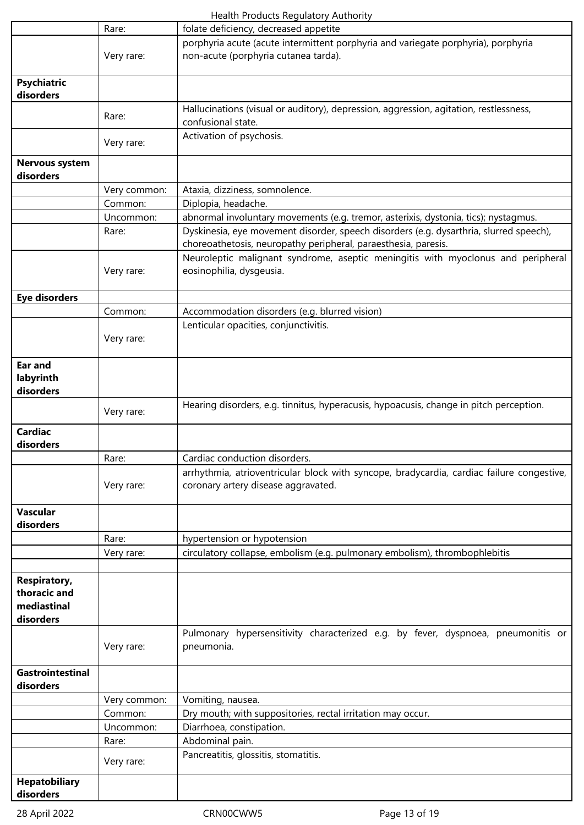|                                                          | Rare:        | folate deficiency, decreased appetite                                                                                                                    |
|----------------------------------------------------------|--------------|----------------------------------------------------------------------------------------------------------------------------------------------------------|
|                                                          | Very rare:   | porphyria acute (acute intermittent porphyria and variegate porphyria), porphyria<br>non-acute (porphyria cutanea tarda).                                |
| <b>Psychiatric</b><br>disorders                          |              |                                                                                                                                                          |
|                                                          | Rare:        | Hallucinations (visual or auditory), depression, aggression, agitation, restlessness,<br>confusional state.                                              |
|                                                          | Very rare:   | Activation of psychosis.                                                                                                                                 |
| Nervous system<br>disorders                              |              |                                                                                                                                                          |
|                                                          | Very common: | Ataxia, dizziness, somnolence.                                                                                                                           |
|                                                          | Common:      | Diplopia, headache.                                                                                                                                      |
|                                                          | Uncommon:    | abnormal involuntary movements (e.g. tremor, asterixis, dystonia, tics); nystagmus.                                                                      |
|                                                          | Rare:        | Dyskinesia, eye movement disorder, speech disorders (e.g. dysarthria, slurred speech),<br>choreoathetosis, neuropathy peripheral, paraesthesia, paresis. |
|                                                          | Very rare:   | Neuroleptic malignant syndrome, aseptic meningitis with myoclonus and peripheral<br>eosinophilia, dysgeusia.                                             |
| <b>Eye disorders</b>                                     |              |                                                                                                                                                          |
|                                                          | Common:      | Accommodation disorders (e.g. blurred vision)                                                                                                            |
|                                                          | Very rare:   | Lenticular opacities, conjunctivitis.                                                                                                                    |
| Ear and<br>labyrinth<br>disorders                        |              |                                                                                                                                                          |
|                                                          | Very rare:   | Hearing disorders, e.g. tinnitus, hyperacusis, hypoacusis, change in pitch perception.                                                                   |
| <b>Cardiac</b><br>disorders                              |              |                                                                                                                                                          |
|                                                          | Rare:        | Cardiac conduction disorders.                                                                                                                            |
|                                                          | Very rare:   | arrhythmia, atrioventricular block with syncope, bradycardia, cardiac failure congestive,<br>coronary artery disease aggravated.                         |
| Vascular<br>disorders                                    |              |                                                                                                                                                          |
|                                                          | Rare:        | hypertension or hypotension                                                                                                                              |
|                                                          | Very rare:   | circulatory collapse, embolism (e.g. pulmonary embolism), thrombophlebitis                                                                               |
| Respiratory,<br>thoracic and<br>mediastinal<br>disorders |              |                                                                                                                                                          |
|                                                          | Very rare:   | Pulmonary hypersensitivity characterized e.g. by fever, dyspnoea, pneumonitis or<br>pneumonia.                                                           |
| <b>Gastrointestinal</b><br>disorders                     |              |                                                                                                                                                          |
|                                                          | Very common: | Vomiting, nausea.                                                                                                                                        |
|                                                          | Common:      | Dry mouth; with suppositories, rectal irritation may occur.                                                                                              |
|                                                          | Uncommon:    | Diarrhoea, constipation.                                                                                                                                 |
|                                                          | Rare:        | Abdominal pain.                                                                                                                                          |
|                                                          | Very rare:   | Pancreatitis, glossitis, stomatitis.                                                                                                                     |
| <b>Hepatobiliary</b><br>disorders                        |              |                                                                                                                                                          |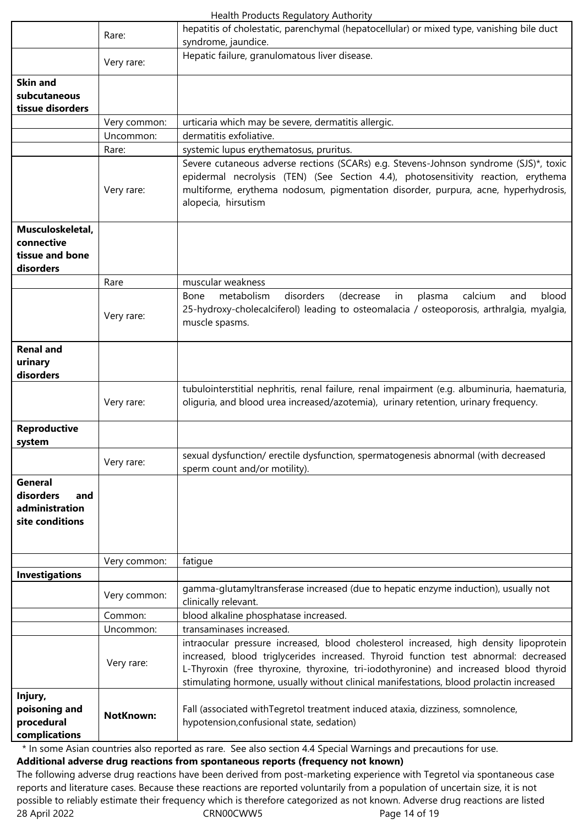|                                                                         | Rare:            | hepatitis of cholestatic, parenchymal (hepatocellular) or mixed type, vanishing bile duct<br>syndrome, jaundice.                                                                                                                                                                                                                                                 |
|-------------------------------------------------------------------------|------------------|------------------------------------------------------------------------------------------------------------------------------------------------------------------------------------------------------------------------------------------------------------------------------------------------------------------------------------------------------------------|
|                                                                         |                  | Hepatic failure, granulomatous liver disease.                                                                                                                                                                                                                                                                                                                    |
|                                                                         | Very rare:       |                                                                                                                                                                                                                                                                                                                                                                  |
| <b>Skin and</b><br>subcutaneous<br>tissue disorders                     |                  |                                                                                                                                                                                                                                                                                                                                                                  |
|                                                                         | Very common:     | urticaria which may be severe, dermatitis allergic.                                                                                                                                                                                                                                                                                                              |
|                                                                         | Uncommon:        | dermatitis exfoliative.                                                                                                                                                                                                                                                                                                                                          |
|                                                                         | Rare:            | systemic lupus erythematosus, pruritus.                                                                                                                                                                                                                                                                                                                          |
|                                                                         | Very rare:       | Severe cutaneous adverse rections (SCARs) e.g. Stevens-Johnson syndrome (SJS)*, toxic<br>epidermal necrolysis (TEN) (See Section 4.4), photosensitivity reaction, erythema<br>multiforme, erythema nodosum, pigmentation disorder, purpura, acne, hyperhydrosis,<br>alopecia, hirsutism                                                                          |
| Musculoskeletal,                                                        |                  |                                                                                                                                                                                                                                                                                                                                                                  |
| connective                                                              |                  |                                                                                                                                                                                                                                                                                                                                                                  |
| tissue and bone                                                         |                  |                                                                                                                                                                                                                                                                                                                                                                  |
| disorders                                                               |                  |                                                                                                                                                                                                                                                                                                                                                                  |
|                                                                         | Rare             | muscular weakness                                                                                                                                                                                                                                                                                                                                                |
|                                                                         | Very rare:       | disorders<br>(decrease<br>calcium<br>blood<br>Bone<br>metabolism<br>in<br>plasma<br>and<br>25-hydroxy-cholecalciferol) leading to osteomalacia / osteoporosis, arthralgia, myalgia,<br>muscle spasms.                                                                                                                                                            |
| <b>Renal and</b>                                                        |                  |                                                                                                                                                                                                                                                                                                                                                                  |
| urinary<br>disorders                                                    |                  |                                                                                                                                                                                                                                                                                                                                                                  |
|                                                                         | Very rare:       | tubulointerstitial nephritis, renal failure, renal impairment (e.g. albuminuria, haematuria,<br>oliguria, and blood urea increased/azotemia), urinary retention, urinary frequency.                                                                                                                                                                              |
| <b>Reproductive</b><br>system                                           |                  |                                                                                                                                                                                                                                                                                                                                                                  |
|                                                                         | Very rare:       | sexual dysfunction/ erectile dysfunction, spermatogenesis abnormal (with decreased<br>sperm count and/or motility).                                                                                                                                                                                                                                              |
| <b>General</b><br>disorders<br>and<br>administration<br>site conditions |                  |                                                                                                                                                                                                                                                                                                                                                                  |
|                                                                         | Very common:     | fatigue                                                                                                                                                                                                                                                                                                                                                          |
| Investigations                                                          |                  |                                                                                                                                                                                                                                                                                                                                                                  |
|                                                                         | Very common:     | gamma-glutamyltransferase increased (due to hepatic enzyme induction), usually not<br>clinically relevant.                                                                                                                                                                                                                                                       |
|                                                                         | Common:          | blood alkaline phosphatase increased.                                                                                                                                                                                                                                                                                                                            |
|                                                                         | Uncommon:        | transaminases increased.                                                                                                                                                                                                                                                                                                                                         |
|                                                                         | Very rare:       | intraocular pressure increased, blood cholesterol increased, high density lipoprotein<br>increased, blood triglycerides increased. Thyroid function test abnormal: decreased<br>L-Thyroxin (free thyroxine, thyroxine, tri-iodothyronine) and increased blood thyroid<br>stimulating hormone, usually without clinical manifestations, blood prolactin increased |
| Injury,<br>poisoning and<br>procedural<br>complications                 | <b>NotKnown:</b> | Fall (associated with Tegretol treatment induced ataxia, dizziness, somnolence,<br>hypotension, confusional state, sedation)                                                                                                                                                                                                                                     |

\* In some Asian countries also reported as rare. See also section 4.4 Special Warnings and precautions for use. **Additional adverse drug reactions from spontaneous reports (frequency not known)**

28 April 2022 CRN00CWW5 Page 14 of 19 The following adverse drug reactions have been derived from post-marketing experience with Tegretol via spontaneous case reports and literature cases. Because these reactions are reported voluntarily from a population of uncertain size, it is not possible to reliably estimate their frequency which is therefore categorized as not known. Adverse drug reactions are listed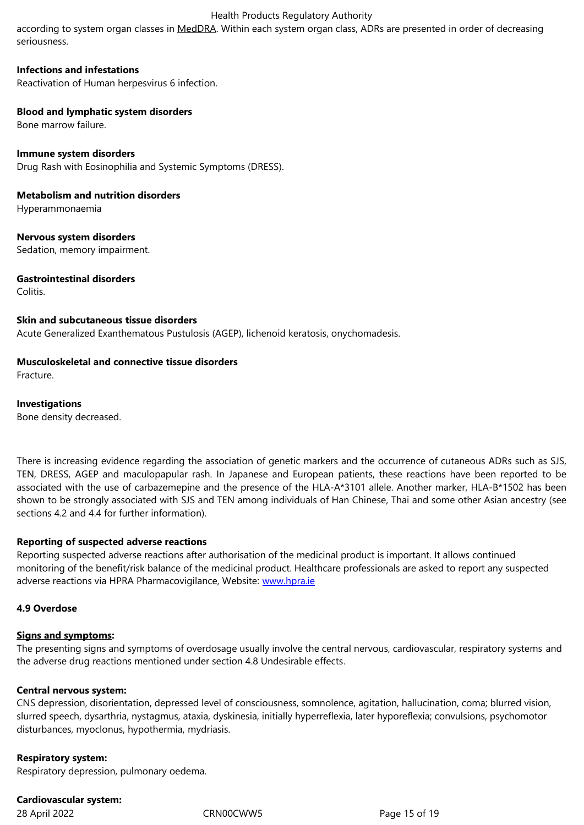# **Infections and infestations**

Reactivation of Human herpesvirus 6 infection.

# **Blood and lymphatic system disorders**

Bone marrow failure.

# **Immune system disorders** Drug Rash with Eosinophilia and Systemic Symptoms (DRESS).

**Metabolism and nutrition disorders** Hyperammonaemia

**Nervous system disorders** Sedation, memory impairment.

# **Gastrointestinal disorders**

Colitis.

# **Skin and subcutaneous tissue disorders**

Acute Generalized Exanthematous Pustulosis (AGEP), lichenoid keratosis, onychomadesis.

# **Musculoskeletal and connective tissue disorders**

Fracture.

# **Investigations**

Bone density decreased.

There is increasing evidence regarding the association of genetic markers and the occurrence of cutaneous ADRs such as SJS, TEN, DRESS, AGEP and maculopapular rash. In Japanese and European patients, these reactions have been reported to be associated with the use of carbazemepine and the presence of the HLA-A\*3101 allele. Another marker, HLA-B\*1502 has been shown to be strongly associated with SJS and TEN among individuals of Han Chinese, Thai and some other Asian ancestry (see sections 4.2 and 4.4 for further information).

# **Reporting of suspected adverse reactions**

Reporting suspected adverse reactions after authorisation of the medicinal product is important. It allows continued monitoring of the benefit/risk balance of the medicinal product. Healthcare professionals are asked to report any suspected adverse reactions via HPRA Pharmacovigilance, Website: www.hpra.ie

#### **4.9 Overdose**

# **Signs and symptoms:**

The presenting signs and symptoms of overdosage usually involve the central nervous, cardiovascular, respiratory systems and the adverse drug reactions mentioned under section 4.8 Undesirable effects.

# **Central nervous system:**

CNS depression, disorientation, depressed level of consciousness, somnolence, agitation, hallucination, coma; blurred vision, slurred speech, dysarthria, nystagmus, ataxia, dyskinesia, initially hyperreflexia, later hyporeflexia; convulsions, psychomotor disturbances, myoclonus, hypothermia, mydriasis.

# **Respiratory system:**

Respiratory depression, pulmonary oedema.

# **Cardiovascular system:**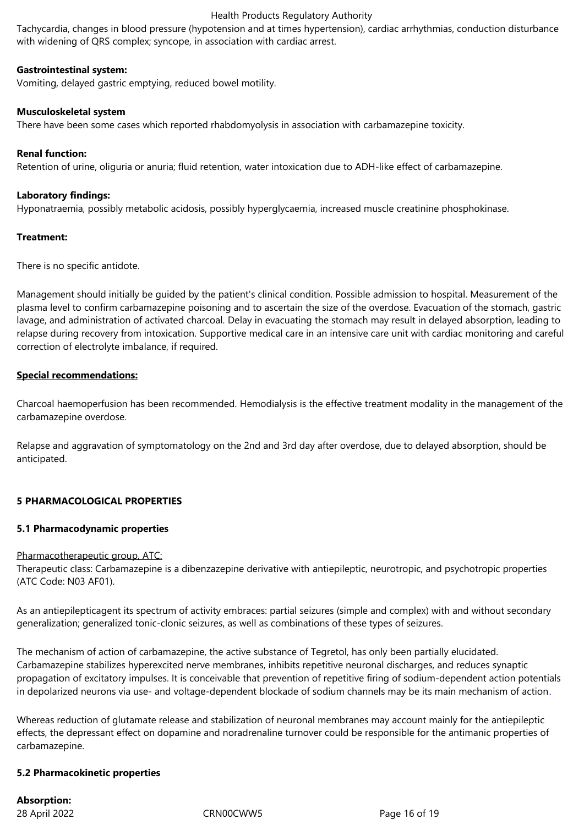Tachycardia, changes in blood pressure (hypotension and at times hypertension), cardiac arrhythmias, conduction disturbance with widening of QRS complex; syncope, in association with cardiac arrest.

# **Gastrointestinal system:**

Vomiting, delayed gastric emptying, reduced bowel motility.

# **Musculoskeletal system**

There have been some cases which reported rhabdomyolysis in association with carbamazepine toxicity.

# **Renal function:**

Retention of urine, oliguria or anuria; fluid retention, water intoxication due to ADH-like effect of carbamazepine.

# **Laboratory findings:**

Hyponatraemia, possibly metabolic acidosis, possibly hyperglycaemia, increased muscle creatinine phosphokinase.

# **Treatment:**

There is no specific antidote.

Management should initially be guided by the patient's clinical condition. Possible admission to hospital. Measurement of the plasma level to confirm carbamazepine poisoning and to ascertain the size of the overdose. Evacuation of the stomach, gastric lavage, and administration of activated charcoal. Delay in evacuating the stomach may result in delayed absorption, leading to relapse during recovery from intoxication. Supportive medical care in an intensive care unit with cardiac monitoring and careful correction of electrolyte imbalance, if required.

# **Special recommendations:**

Charcoal haemoperfusion has been recommended. Hemodialysis is the effective treatment modality in the management of the carbamazepine overdose.

Relapse and aggravation of symptomatology on the 2nd and 3rd day after overdose, due to delayed absorption, should be anticipated.

# **5 PHARMACOLOGICAL PROPERTIES**

# **5.1 Pharmacodynamic properties**

# Pharmacotherapeutic group, ATC:

Therapeutic class: Carbamazepine is a dibenzazepine derivative with antiepileptic, neurotropic, and psychotropic properties (ATC Code: N03 AF01).

As an antiepilepticagent its spectrum of activity embraces: partial seizures (simple and complex) with and without secondary generalization; generalized tonic-clonic seizures, as well as combinations of these types of seizures.

The mechanism of action of carbamazepine, the active substance of Tegretol, has only been partially elucidated. Carbamazepine stabilizes hyperexcited nerve membranes, inhibits repetitive neuronal discharges, and reduces synaptic propagation of excitatory impulses. It is conceivable that prevention of repetitive firing of sodium-dependent action potentials in depolarized neurons via use- and voltage-dependent blockade of sodium channels may be its main mechanism of action.

Whereas reduction of glutamate release and stabilization of neuronal membranes may account mainly for the antiepileptic effects, the depressant effect on dopamine and noradrenaline turnover could be responsible for the antimanic properties of carbamazepine.

# **5.2 Pharmacokinetic properties**

**Absorption:**

28 April 2022 CRN00CWW5 Page 16 of 19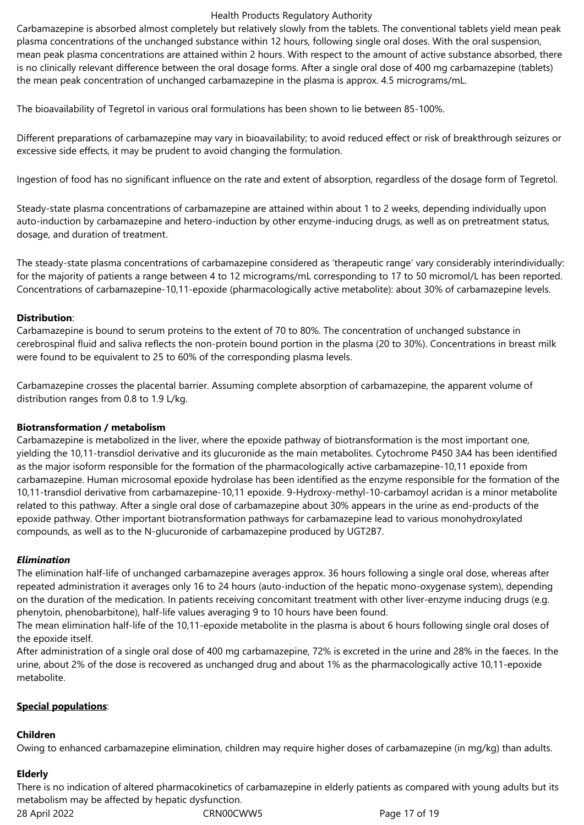Carbamazepine is absorbed almost completely but relatively slowly from the tablets. The conventional tablets yield mean peak plasma concentrations of the unchanged substance within 12 hours, following single oral doses. With the oral suspension, mean peak plasma concentrations are attained within 2 hours. With respect to the amount of active substance absorbed, there is no clinically relevant difference between the oral dosage forms. After a single oral dose of 400 mg carbamazepine (tablets) the mean peak concentration of unchanged carbamazepine in the plasma is approx. 4.5 micrograms/mL.

The bioavailability of Tegretol in various oral formulations has been shown to lie between 85-100%.

Different preparations of carbamazepine may vary in bioavailability; to avoid reduced effect or risk of breakthrough seizures or excessive side effects, it may be prudent to avoid changing the formulation.

Ingestion of food has no significant influence on the rate and extent of absorption, regardless of the dosage form of Tegretol.

Steady-state plasma concentrations of carbamazepine are attained within about 1 to 2 weeks, depending individually upon auto-induction by carbamazepine and hetero-induction by other enzyme-inducing drugs, as well as on pretreatment status, dosage, and duration of treatment.

The steady-state plasma concentrations of carbamazepine considered as 'therapeutic range' vary considerably interindividually: for the majority of patients a range between 4 to 12 micrograms/mL corresponding to 17 to 50 micromol/L has been reported. Concentrations of carbamazepine-10,11-epoxide (pharmacologically active metabolite): about 30% of carbamazepine levels.

# **Distribution**:

Carbamazepine is bound to serum proteins to the extent of 70 to 80%. The concentration of unchanged substance in cerebrospinal fluid and saliva reflects the non-protein bound portion in the plasma (20 to 30%). Concentrations in breast milk were found to be equivalent to 25 to 60% of the corresponding plasma levels.

Carbamazepine crosses the placental barrier. Assuming complete absorption of carbamazepine, the apparent volume of distribution ranges from 0.8 to 1.9 L/kg.

# **Biotransformation / metabolism**

Carbamazepine is metabolized in the liver, where the epoxide pathway of biotransformation is the most important one, yielding the 10,11-transdiol derivative and its glucuronide as the main metabolites. Cytochrome P450 3A4 has been identified as the major isoform responsible for the formation of the pharmacologically active carbamazepine-10,11 epoxide from carbamazepine. Human microsomal epoxide hydrolase has been identified as the enzyme responsible for the formation of the 10,11-transdiol derivative from carbamazepine-10,11 epoxide. 9-Hydroxy-methyl-10-carbamoyl acridan is a minor metabolite related to this pathway. After a single oral dose of carbamazepine about 30% appears in the urine as end-products of the epoxide pathway. Other important biotransformation pathways for carbamazepine lead to various monohydroxylated compounds, as well as to the N-glucuronide of carbamazepine produced by UGT2B7.

# *Elimination*

The elimination half-life of unchanged carbamazepine averages approx. 36 hours following a single oral dose, whereas after repeated administration it averages only 16 to 24 hours (auto-induction of the hepatic mono-oxygenase system), depending on the duration of the medication. In patients receiving concomitant treatment with other liver-enzyme inducing drugs (e.g. phenytoin, phenobarbitone), half-life values averaging 9 to 10 hours have been found.

The mean elimination half-life of the 10,11-epoxide metabolite in the plasma is about 6 hours following single oral doses of the epoxide itself.

After administration of a single oral dose of 400 mg carbamazepine, 72% is excreted in the urine and 28% in the faeces. In the urine, about 2% of the dose is recovered as unchanged drug and about 1% as the pharmacologically active 10,11-epoxide metabolite.

# **Special populations**:

# **Children**

Owing to enhanced carbamazepine elimination, children may require higher doses of carbamazepine (in mg/kg) than adults.

# **Elderly**

28 April 2022 CRN00CWW5 Page 17 of 19 There is no indication of altered pharmacokinetics of carbamazepine in elderly patients as compared with young adults but its metabolism may be affected by hepatic dysfunction.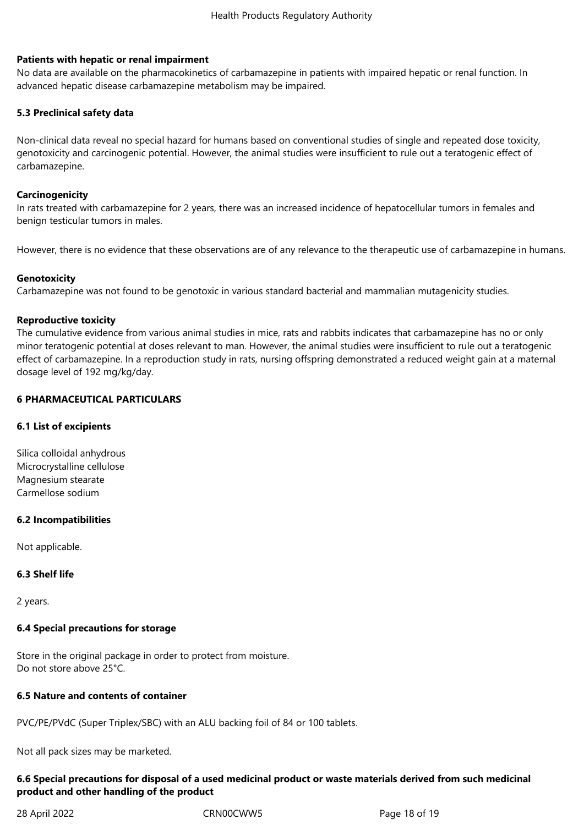# **Patients with hepatic or renal impairment**

No data are available on the pharmacokinetics of carbamazepine in patients with impaired hepatic or renal function. In advanced hepatic disease carbamazepine metabolism may be impaired.

# **5.3 Preclinical safety data**

Non-clinical data reveal no special hazard for humans based on conventional studies of single and repeated dose toxicity, genotoxicity and carcinogenic potential. However, the animal studies were insufficient to rule out a teratogenic effect of carbamazepine.

# **Carcinogenicity**

In rats treated with carbamazepine for 2 years, there was an increased incidence of hepatocellular tumors in females and benign testicular tumors in males.

However, there is no evidence that these observations are of any relevance to the therapeutic use of carbamazepine in humans.

# **Genotoxicity**

Carbamazepine was not found to be genotoxic in various standard bacterial and mammalian mutagenicity studies.

# **Reproductive toxicity**

The cumulative evidence from various animal studies in mice, rats and rabbits indicates that carbamazepine has no or only minor teratogenic potential at doses relevant to man. However, the animal studies were insufficient to rule out a teratogenic effect of carbamazepine. In a reproduction study in rats, nursing offspring demonstrated a reduced weight gain at a maternal dosage level of 192 mg/kg/day.

# **6 PHARMACEUTICAL PARTICULARS**

# **6.1 List of excipients**

Silica colloidal anhydrous Microcrystalline cellulose Magnesium stearate Carmellose sodium

# **6.2 Incompatibilities**

Not applicable.

# **6.3 Shelf life**

2 years.

# **6.4 Special precautions for storage**

Store in the original package in order to protect from moisture. Do not store above 25°C.

# **6.5 Nature and contents of container**

PVC/PE/PVdC (Super Triplex/SBC) with an ALU backing foil of 84 or 100 tablets.

Not all pack sizes may be marketed.

# **6.6 Special precautions for disposal of a used medicinal product or waste materials derived from such medicinal product and other handling of the product**

28 April 2022 CRN00CWW5 Page 18 of 19